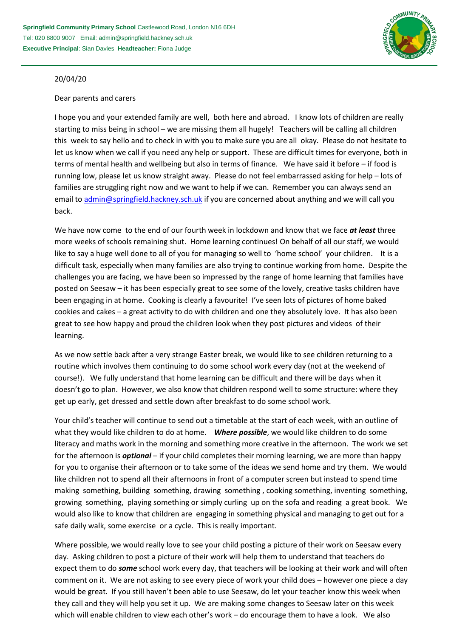

## 20/04/20

## Dear parents and carers

I hope you and your extended family are well, both here and abroad. I know lots of children are really starting to miss being in school – we are missing them all hugely! Teachers will be calling all children this week to say hello and to check in with you to make sure you are all okay. Please do not hesitate to let us know when we call if you need any help or support. These are difficult times for everyone, both in terms of mental health and wellbeing but also in terms of finance. We have said it before – if food is running low, please let us know straight away. Please do not feel embarrassed asking for help – lots of families are struggling right now and we want to help if we can. Remember you can always send an email to [admin@springfield.hackney.sch.uk](mailto:admin@springfield.hackney.sch.uk) if you are concerned about anything and we will call you back.

We have now come to the end of our fourth week in lockdown and know that we face *at least* three more weeks of schools remaining shut. Home learning continues! On behalf of all our staff, we would like to say a huge well done to all of you for managing so well to 'home school' your children. It is a difficult task, especially when many families are also trying to continue working from home. Despite the challenges you are facing, we have been so impressed by the range of home learning that families have posted on Seesaw – it has been especially great to see some of the lovely, creative tasks children have been engaging in at home. Cooking is clearly a favourite! I've seen lots of pictures of home baked cookies and cakes – a great activity to do with children and one they absolutely love. It has also been great to see how happy and proud the children look when they post pictures and videos of their learning.

As we now settle back after a very strange Easter break, we would like to see children returning to a routine which involves them continuing to do some school work every day (not at the weekend of course!). We fully understand that home learning can be difficult and there will be days when it doesn't go to plan. However, we also know that children respond well to some structure: where they get up early, get dressed and settle down after breakfast to do some school work.

Your child's teacher will continue to send out a timetable at the start of each week, with an outline of what they would like children to do at home. *Where possible*, we would like children to do some literacy and maths work in the morning and something more creative in the afternoon. The work we set for the afternoon is *optional* – if your child completes their morning learning, we are more than happy for you to organise their afternoon or to take some of the ideas we send home and try them. We would like children not to spend all their afternoons in front of a computer screen but instead to spend time making something, building something, drawing something , cooking something, inventing something, growing something, playing something or simply curling up on the sofa and reading a great book. We would also like to know that children are engaging in something physical and managing to get out for a safe daily walk, some exercise or a cycle. This is really important.

Where possible, we would really love to see your child posting a picture of their work on Seesaw every day. Asking children to post a picture of their work will help them to understand that teachers do expect them to do *some* school work every day, that teachers will be looking at their work and will often comment on it. We are not asking to see every piece of work your child does – however one piece a day would be great. If you still haven't been able to use Seesaw, do let your teacher know this week when they call and they will help you set it up. We are making some changes to Seesaw later on this week which will enable children to view each other's work – do encourage them to have a look. We also